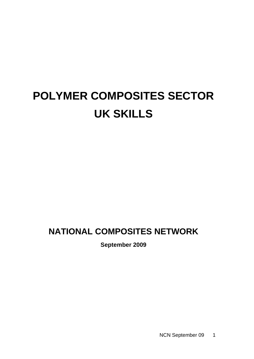# **POLYMER COMPOSITES SECTOR UK SKILLS**

# **NATIONAL COMPOSITES NETWORK**

**September 2009**

NCN September 09 1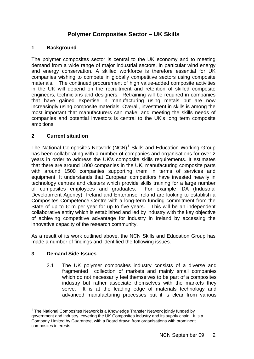### **Polymer Composites Sector – UK Skills**

#### **1 Background**

The polymer composites sector is central to the UK economy and to meeting demand from a wide range of major industrial sectors, in particular wind energy and energy conservation. A skilled workforce is therefore essential for UK companies wishing to compete in globally competitive sectors using composite materials. The continued procurement of high value-added composite activities in the UK will depend on the recruitment and retention of skilled composite engineers, technicians and designers. Retraining will be required in companies that have gained expertise in manufacturing using metals but are now increasingly using composite materials. Overall, investment in skills is among the most important that manufacturers can make, and meeting the skills needs of companies and potential investors is central to the UK's long term composite ambitions.

#### **2 Current situation**

The National Composites Network  $(NCN)^1$  $(NCN)^1$  Skills and Education Working Group has been collaborating with a number of companies and organisations for over 2 years in order to address the UK's composite skills requirements. It estimates that there are around 1000 companies in the UK, manufacturing composite parts with around 1500 companies supporting them in terms of services and equipment. It understands that European competitors have invested heavily in technology centres and clusters which provide skills training for a large number of composites employees and graduates. For example IDA (Industrial Development Agency) Ireland and Enterprise Ireland are looking to establish a Composites Competence Centre with a long-term funding commitment from the State of up to  $\epsilon$ 1m per year for up to five years. This will be an independent collaborative entity which is established and led by industry with the key objective of achieving competitive advantage for industry in Ireland by accessing the innovative capacity of the research community.

As a result of its work outlined above, the NCN Skills and Education Group has made a number of findings and identified the following issues.

#### **3 Demand Side Issues**

l

3.1 The UK polymer composites industry consists of a diverse and fragmented collection of markets and mainly small companies which do not necessarily feel themselves to be part of a composites industry but rather associate themselves with the markets they serve. It is at the leading edge of materials technology and advanced manufacturing processes but it is clear from various

<span id="page-1-0"></span> $1$  The National Composites Network is a Knowledge Transfer Network jointly funded by government and industry, covering the UK Composites industry and its supply chain. It is a Company Limited by Guarantee, with a Board drawn from organisations with prominent composites interests.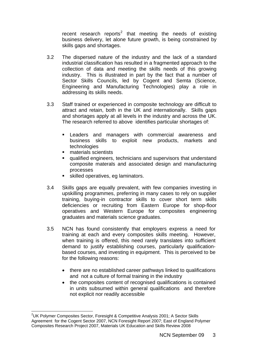recent research reports<sup>[2](#page-2-0)</sup> that meeting the needs of existing business delivery, let alone future growth, is being constrained by skills gaps and shortages.

- 3.2 The dispersed nature of the industry and the lack of a standard industrial classification has resulted in a fragmented approach to the collection of data and meeting the skills needs of this growing industry. This is illustrated in part by the fact that a number of Sector Skills Councils, led by Cogent and Semta (Science, Engineering and Manufacturing Technologies) play a role in addressing its skills needs.
- 3.3 Staff trained or experienced in composite technology are difficult to attract and retain, both in the UK and internationally. Skills gaps and shortages apply at all levels in the industry and across the UK. The research referred to above identifies particular shortages of:
	- Leaders and managers with commercial awareness and business skills to exploit new products, markets and technologies
	- materials scientists
	- qualified engineers, technicians and supervisors that understand composite materals and associated design and manufacturing processes
	- skilled operatives, eg laminators.
- 3.4 Skills gaps are equally prevalent, with few companies investing in upskilling programmes, preferring in many cases to rely on supplier training, buying-in contractor skills to cover short term skills deficiencies or recruiting from Eastern Europe for shop-floor operatives and Western Europe for composites engineering graduates and materials science graduates.
- 3.5 NCN has found consistently that employers express a need for training at each and every composites skills meeting. However, when training is offered, this need rarely translates into sufficient demand to justify establishing courses, particularly qualificationbased courses, and investing in equipment. This is perceived to be for the following reasons:
	- there are no established career pathways linked to qualifications and not a culture of formal training in the industry
	- the composites content of recognised qualifications is contained in units subsumed within general qualifications and therefore not explicit nor readily accessible

<span id="page-2-0"></span>l <sup>2</sup>UK Polymer Composites Sector, Foresight & Competitive Analysis 2001; A Sector Skills Agreement for the Cogent Sector 2007, NCN Foresight Report 2007; East of England Polymer Composites Research Project 2007, Materials UK Education and Skills Review 2008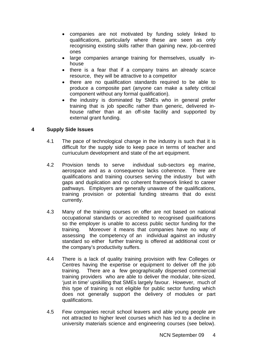- companies are not motivated by funding solely linked to qualifications, particularly where these are seen as only recognising existing skills rather than gaining new, job-centred ones
- large companies arrange training for themselves, usually inhouse
- there is a fear that if a company trains an already scarce resource, they will be attractive to a competitor
- there are no qualification standards required to be able to produce a composite part (anyone can make a safety critical component without any formal qualification).
- the industry is dominated by SMEs who in general prefer training that is job specific rather than generic, delivered inhouse rather than at an off-site facility and supported by external grant funding.

#### **4 Supply Side Issues**

- 4.1 The pace of technological change in the industry is such that it is difficult for the supply side to keep pace in terms of teacher and curriuculum development and state of the art equipment.
- 4.2 Provision tends to serve individual sub-sectors eg marine, aerospace and as a consequence lacks coherence. There are qualifications and training courses serving the industry but with gaps and duplication and no coherent framework linked to career pathways. Employers are generally unaware of the qualifications, training provision or potential funding streams that do exist currently.
- 4.3 Many of the training courses on offer are not based on national occupational standards or accredited to recognised qualifications so the employer is unable to access public sector funding for the training. Moreover it means that companies have no way of assessing the competency of an individual against an industry standard so either further training is offered at additional cost or the company's productivity suffers.
- 4.4 There is a lack of quality training provision with few Colleges or Centres having the expertise or equipment to deliver off the job training. There are a few geographically dispersed commercial training providers who are able to deliver the modular, bite-sized, 'just in time' upskilling that SMEs largely favour. However, much of this type of training is not eligible for public sector funding which does not generally support the delivery of modules or part qualifications.
- 4.5 Few companies recruit school leavers and able young people are not attracted to higher level courses which has led to a decline in university materials science and engineering courses (see below).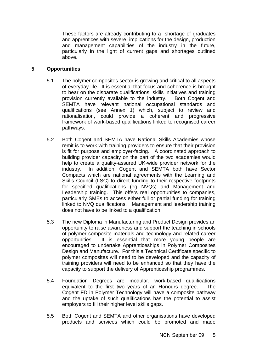These factors are already contributing to a shortage of graduates and apprentices with severe implications for the design, production and management capabilities of the industry in the future, particularly in the light of current gaps and shortages outlined above.

#### **5 Opportunities**

- 5.1 The polymer composites sector is growing and critical to all aspects of everyday life. It is essential that focus and coherence is brought to bear on the disparate qualifications, skills initiatives and training provision currently available to the industry. Both Cogent and SEMTA have relevant national occupational standards and qualifications (see Annex 1) which, subject to review and rationalisation, could provide a coherent and progressive framework of work-based qualifications linked to recognised career pathways.
- 5.2 Both Cogent and SEMTA have National Skills Academies whose remit is to work with training providers to ensure that their provision is fit for purpose and employer-facing. A coordinated approach to building provider capacity on the part of the two academies would help to create a quality-assured UK-wide provider network for the industry. In addition, Cogent and SEMTA both have Sector Compacts which are national agreements with the Learning and Skills Council (LSC) to direct funding to their respective footprints for specified qualifications (eg NVQs) and Management and Leadership training. This offers real opportunities to companies, particularly SMEs to access either full or partial funding for training linked to NVQ qualifications. Management and leadership training does not have to be linked to a qualification.
- 5.3 The new Diploma in Manufacturing and Product Design provides an opportunity to raise awareness and support the teaching in schools of polymer composite materials and technology and related career opportunities. It is essential that more young people are encouraged to undertake Apprenticeships in Polymer Composites Design and Manufacture. For this a Technical Certificate specific to polymer composites will need to be developed and the capacity of training providers will need to be enhanced so that they have the capacity to support the delivery of Apprenticeship programmes.
- 5.4 Foundation Degrees are modular, work-based qualifications equivalent to the first two years of an Honours degree. The Cogent FD in Polymer Technology will have a composite pathway and the uptake of such qualifications has the potential to assist employers to fill their higher level skills gaps.
- 5.5 Both Cogent and SEMTA and other organisations have developed products and services which could be promoted and made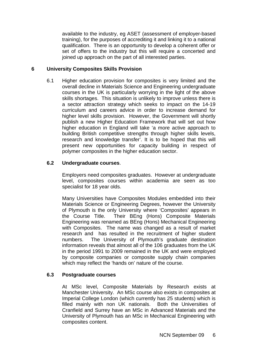available to the industry, eg ASET (assessment of employer-based training), for the purposes of accrediting it and linking it to a national qualification. There is an opportunity to develop a coherent offer or set of offers to the industry but this will require a concerted and joined up approach on the part of all interested parties.

#### **6 University Composites Skills Provision**

6.1 Higher education provision for composites is very limited and the overall decline in Materials Science and Engineering undergraduate courses in the UK is particularly worrying in the light of the above skills shortages. This situation is unlikely to improve unless there is a sector attraction strategy which seeks to impact on the 14-19 curriculum and careers advice in order to increase demand for higher level skills provision. However, the Government will shortly publish a new Higher Education Framework that will set out how higher education in England will take 'a more active approach to building British competitive strengths through higher skills levels. research and knowledge transfer'. It is to be hoped that this will present new opportunities for capacity building in respect of polymer composites in the higher education sector.

#### **6.2 Undergraduate courses**.

Employers need composites graduates. However at undergraduate level, composites courses within academia are seen as too specialist for 18 year olds.

Many Universities have Composites Modules embedded into their Materials Science or Engineering Degrees, however the University of Plymouth is the only University where 'Composites' appears in the Course Title. Their BEng (Hons) Composite Materials Engineering was renamed as BEng (Hons) Mechanical Engineering with Composites. The name was changed as a result of market research and has resulted in the recruitment of higher student numbers. The University of Plymouth's graduate destination information reveals that almost all of the 106 graduates from the UK in the period 1991 to 2009 remained in the UK and were employed by composite companies or composite supply chain companies which may reflect the 'hands on' nature of the course.

#### **6.3 Postgraduate courses**

At MSc level, Composite Materials by Research exists at Manchester University. An MSc course also exists in composites at Imperial College London (which currently has 25 students) which is filled mainly with non UK nationals. Both the Universities of Cranfield and Surrey have an MSc in Advanced Materials and the University of Plymouth has an MSc in Mechanical Engineering with composites content.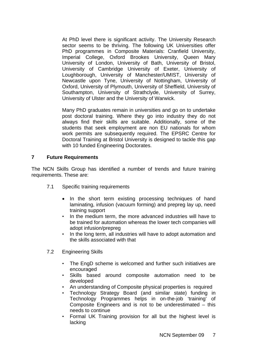At PhD level there is significant activity. The University Research sector seems to be thriving. The following UK Universities offer PhD programmes in Composite Materials: Cranfield University, Imperial College, Oxford Brookes University, Queen Mary University of London, University of Bath, University of Bristol, University of Cambridge University of Exeter, University of Loughborough, University of Manchester/UMIST, University of Newcastle upon Tyne, University of Nottingham, University of Oxford, University of Plymouth, University of Sheffield, University of Southampton, University of Strathclyde, University of Surrey, University of Ulster and the University of Warwick.

Many PhD graduates remain in universities and go on to undertake post doctoral training. Where they go into industry they do not always find their skills are suitable. Additionally, some of the students that seek employment are non EU nationals for whom work permits are subsequently required. The EPSRC Centre for Doctoral Training at Bristol University is designed to tackle this gap with 10 funded Engineering Doctorates.

#### **7 Future Requirements**

The NCN Skills Group has identified a number of trends and future training requirements. These are:

- 7.1 Specific training requirements
	- In the short term existing processing techniques of hand laminating, infusion (vacuum forming) and prepreg lay up, need training support
	- In the medium term, the more advanced industries will have to be trained for automation whereas the lower tech companies will adopt infusion/prepreg
	- In the long term, all industries will have to adopt automation and the skills associated with that
- 7.2 Engineering Skills
	- The EngD scheme is welcomed and further such initiatives are encouraged
	- Skills based around composite automation need to be developed
	- An understanding of Composite physical properties is required
	- Technology Strategy Board (and similar state) funding in Technology Programmes helps in on-the-job 'training' of Composite Engineers and is not to be underestimated – this needs to continue
	- Formal UK Training provision for all but the highest level is lacking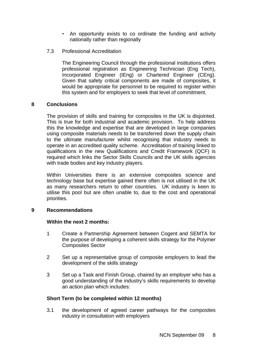- An opportunity exists to co ordinate the funding and activity nationally rather than regionally
- 7.3 Professional Accreditation

The Engineering Council through the professional institutions offers professional registration as Engineering Technician (Eng Tech), Incorporated Engineer (IEng) or Chartered Engineer (CEng). Given that safety critical components are made of composites, it would be appropriate for personnel to be required to register within this system and for employers to seek that level of commitment.

#### **8 Conclusions**

The provision of skills and training for composites in the UK is disjointed. This is true for both industrial and academic provision. To help address this the knowledge and expertise that are developed in large companies using composite materials needs to be transferred down the supply chain to the ultimate manufacturer whilst recognising that industry needs to operate in an accredited quality scheme. Accreditation of training linked to qualifications in the new Qualifications and Credit Framework (QCF) is required which links the Sector Skills Councils and the UK skills agencies with trade bodies and key industry players.

Within Universities there is an extensive composites science and technology base but expertise gained there often is not utilised in the UK as many researchers return to other countries. UK industry is keen to utilise this pool but are often unable to, due to the cost and operational priorities.

#### **9 Recommendations**

#### **Within the next 2 months:**

- 1 Create a Partnership Agreement between Cogent and SEMTA for the purpose of developing a coherent skills strategy for the Polymer Composites Sector
- 2 Set up a representative group of composite employers to lead the development of the skills strategy
- 3 Set up a Task and Finish Group, chaired by an employer who has a good understanding of the industry's skills requirements to develop an action plan which includes:

#### **Short Term (to be completed within 12 months)**

3.1 the development of agreed career pathways for the composites industry in consultation with employers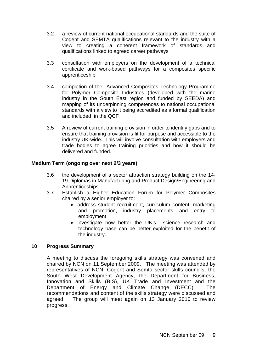- 3.2 a review of current national occupational standards and the suite of Cogent and SEMTA qualifications relevant to the industry with a view to creating a coherent framework of standards and qualifications linked to agreed career pathways
- 3.3 consultation with employers on the development of a technical certificate and work-based pathways for a composites specific apprenticeship
- 3.4 completion of the Advanced Composites Technology Programme for Polymer Composite Industries (developed with the marine industry in the South East region and funded by SEEDA) and mapping of its underpinning competences to national occupational standards with a view to it being accredited as a formal qualification and included in the QCF
- 3.5 A review of current training provision in order to identify gaps and to ensure that training provision is fit for purpose and accessible to the industry UK-wide. This will involve consultation with employers and trade bodies to agree training priorities and how it should be delivered and funded.

#### **Medium Term (ongoing over next 2/3 years)**

- 3.6 the development of a sector attraction strategy building on the 14- 19 Diplomas in Manufacturing and Product Design/Engineering and Apprenticeships
- 3.7 Establish a Higher Education Forum for Polymer Composites chaired by a senior employer to:
	- address student recruitment, curriculum content, marketing and promotion, industry placements and entry to employment
	- investigate how better the UK's science research and technology base can be better exploited for the benefit of the industry.

#### **10 Progress Summary**

A meeting to discuss the foregoing skills strategy was convened and chaired by NCN on 11 September 2009. The meeting was attended by representatives of NCN, Cogent and Semta sector skills councils, the South West Development Agency, the Department for Business, Innovation and Skills (BIS), UK Trade and Investment and the Department of Energy and Climate Change (DECC). The recommendations and content of the skills strategy were discussed and agreed. The group will meet again on 13 January 2010 to review progress.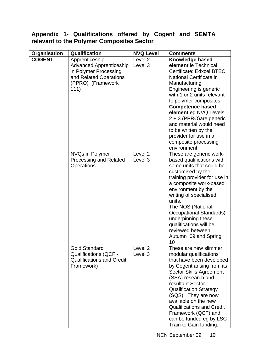## **Appendix 1- Qualifications offered by Cogent and SEMTA relevant to the Polymer Composites Sector**

|                                      | Qualification                                                                                                                    | <b>NVQ Level</b>              | <b>Comments</b>                                                                                                                                                                                                                                                                                                                                                                                   |
|--------------------------------------|----------------------------------------------------------------------------------------------------------------------------------|-------------------------------|---------------------------------------------------------------------------------------------------------------------------------------------------------------------------------------------------------------------------------------------------------------------------------------------------------------------------------------------------------------------------------------------------|
| <b>Organisation</b><br><b>COGENT</b> | Apprenticeship<br><b>Advanced Apprenticeship</b><br>in Polymer Processing<br>and Related Operations<br>(PPRO) (Framework<br>111) | Level 2<br>Level 3            | Knowledge based<br>element ie Technical<br><b>Certificate: Edxcel BTEC</b><br>National Certificate in<br>Manufacturing<br>Engineering is generic<br>with 1 or 2 units relevant<br>to polymer composites<br><b>Competence based</b><br>element eg NVQ Levels<br>$2 + 3$ (PPRO)are generic<br>and material would need<br>to be written by the<br>provider for use in a<br>composite processing      |
|                                      | <b>NVQs in Polymer</b><br>Processing and Related<br><b>Operations</b>                                                            | Level <sub>2</sub><br>Level 3 | environment<br>These are generic work-<br>based qualifications with<br>some units that could be<br>customised by the<br>training provider for use in<br>a composite work-based<br>environment by the<br>writing of specialised<br>units.<br>The NOS (National<br><b>Occupational Standards)</b><br>underpinning these<br>qualifications will be<br>reviewed between<br>Autumn 09 and Spring<br>10 |
|                                      | <b>Gold Standard</b><br><b>Qualifications (QCF -</b><br><b>Qualifications and Credit</b><br>Framework)                           | Level <sub>2</sub><br>Level 3 | These are new slimmer<br>modular qualifications<br>that have been developed<br>by Cogent arising from its<br><b>Sector Skills Agreement</b><br>(SSA) research and<br>resultant Sector<br><b>Qualification Strategy</b><br>(SQS). They are now<br>available on the new<br><b>Qualifications and Credit</b><br>Framework (QCF) and<br>can be funded eg by LSC<br>Train to Gain funding.             |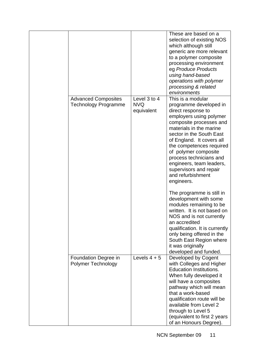|                                                           |                                          | These are based on a<br>selection of existing NOS<br>which although still<br>generic are more relevant<br>to a polymer composite<br>processing environment<br>eg Produce Products<br>using hand-based<br>operations with polymer<br>processing & related<br>environments                                                                                                            |
|-----------------------------------------------------------|------------------------------------------|-------------------------------------------------------------------------------------------------------------------------------------------------------------------------------------------------------------------------------------------------------------------------------------------------------------------------------------------------------------------------------------|
| <b>Advanced Composites</b><br><b>Technology Programme</b> | Level 3 to 4<br><b>NVQ</b><br>equivalent | This is a modular<br>programme developed in<br>direct response to<br>employers using polymer<br>composite processes and<br>materials in the marine<br>sector in the South East<br>of England. It covers all<br>the competences required<br>of polymer composite<br>process technicians and<br>engineers, team leaders,<br>supervisors and repair<br>and refurbishment<br>engineers. |
|                                                           |                                          | The programme is still in<br>development with some<br>modules remaining to be<br>written. It is not based on<br>NOS and is not currently<br>an accredited<br>qualification. It is currently<br>only being offered in the<br>South East Region where<br>it was originally<br>developed and funded.                                                                                   |
| Foundation Degree in<br><b>Polymer Technology</b>         | Levels $4 + 5$                           | Developed by Cogent<br>with Colleges and Higher<br><b>Education Institutions.</b><br>When fully developed it<br>will have a composites<br>pathway which will mean<br>that a work-based<br>qualification route will be<br>available from Level 2<br>through to Level 5<br>(equivalent to first 2 years)<br>of an Honours Degree).                                                    |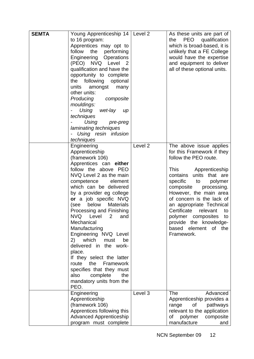| <b>SEMTA</b> | Young Apprenticeship 14   Level 2<br>to 16 program:<br>Apprentices may opt to<br>follow<br>the performing<br>Engineering Operations<br>(PEO) NVQ Level 2<br>qualification and have the<br>opportunity to complete<br>the following optional<br>units<br>amongst<br>many<br>other units:<br>Producing composite<br>mouldings:<br>Using<br>wet-lay<br>$\mu$ p<br>techniques<br>Using pre-preg<br>laminating techniques<br>Using resin infusion<br>techniques                                                                                                                                                           |                    | As these units are part of<br>PEO<br>qualification<br>the<br>which is broad-based, it is<br>unlikely that a FE College<br>would have the expertise<br>and equipment to deliver<br>all of these optional units.                                                                                                                                                                                            |
|--------------|----------------------------------------------------------------------------------------------------------------------------------------------------------------------------------------------------------------------------------------------------------------------------------------------------------------------------------------------------------------------------------------------------------------------------------------------------------------------------------------------------------------------------------------------------------------------------------------------------------------------|--------------------|-----------------------------------------------------------------------------------------------------------------------------------------------------------------------------------------------------------------------------------------------------------------------------------------------------------------------------------------------------------------------------------------------------------|
|              | Engineering<br>Apprenticeship<br>(framework 106)<br>Apprentices can either<br>follow the above PEO<br>NVQ Level 2 as the main<br>competence<br>element<br>which can be delivered<br>by a provider eg college<br>or a job specific NVQ<br>below<br><b>Materials</b><br>(see<br>Processing and Finishing<br>NVQ Level<br>$2^{\circ}$<br>and<br>Mechanical<br>Manufacturing<br>Engineering NVQ Level<br>2) which<br>be<br>must<br>delivered in the work-<br>place.<br>If they select the latter<br>Framework<br>route<br>the<br>specifies that they must<br>also<br>complete<br>the<br>mandatory units from the<br>PEO. | Level <sub>2</sub> | The above issue applies<br>for this Framework if they<br>follow the PEO route.<br>This Apprenticeship<br>contains units that are<br>specific to<br>polymer<br>composite<br>processing.<br>However, the main area<br>of concern is the lack of<br>an appropriate Technical<br>Certificate<br>relevant<br>to<br>polymer composites to<br>provide the knowledge-<br>of the<br>based<br>element<br>Framework. |
|              | Engineering<br>Apprenticeship<br>(framework 106)<br>Apprentices following this<br><b>Advanced Apprenticeship</b><br>program must complete                                                                                                                                                                                                                                                                                                                                                                                                                                                                            | Level 3            | <b>The</b><br>Advanced<br>Apprenticeship provides a<br>pathways<br>range<br>of<br>relevant to the application<br>of polymer composite<br>manufacture<br>and                                                                                                                                                                                                                                               |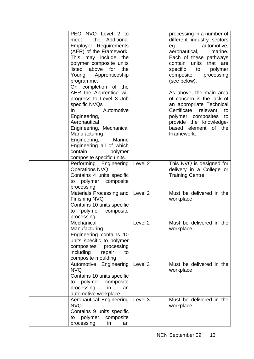| PEO NVQ Level 2 to<br>the Additional<br>meet<br><b>Employer Requirements</b><br>(AER) of the Framework.<br>This may include the<br>polymer composite units<br>listed<br>above<br>for<br>the<br>Young Apprenticeship<br>programme.<br>On completion of the                     |         | processing in a number of<br>different industry sectors<br>automotive,<br>eg<br>aeronautical,<br>marine.<br>Each of these pathways<br>contain units<br>that are<br>specific<br>to<br>polymer<br>composite<br>processing<br>(see below). |
|-------------------------------------------------------------------------------------------------------------------------------------------------------------------------------------------------------------------------------------------------------------------------------|---------|-----------------------------------------------------------------------------------------------------------------------------------------------------------------------------------------------------------------------------------------|
| AER the Apprentice will<br>progress to Level 3 Job<br>specific NVQs<br>Automotive<br>In.<br>Engineering,<br>Aeronautical<br>Engineering, Mechanical<br>Manufacturing<br>Engineering,<br>Marine<br>Engineering all of which<br>contain<br>polymer<br>composite specific units. |         | As above, the main area<br>of concern is the lack of<br>an appropriate Technical<br>Certificate relevant<br>to<br>polymer composites to<br>provide the knowledge-<br>based element<br>of the<br>Framework.                              |
| Performing Engineering<br><b>Operations NVQ</b><br>Contains 4 units specific<br>polymer composite<br>to<br>processing                                                                                                                                                         | Level 2 | This NVQ is designed for<br>delivery in a College or<br>Training Centre.                                                                                                                                                                |
| Materials Processing and<br><b>Finishing NVQ</b><br>Contains 10 units specific<br>to polymer composite<br>processing                                                                                                                                                          | Level 2 | Must be delivered in the<br>workplace                                                                                                                                                                                                   |
| Mechanical<br>Manufacturing<br>Engineering contains 10<br>units specific to polymer<br>composites<br>processing<br>including<br>repair<br>to<br>composite moulding                                                                                                            | Level 2 | Must be delivered in the<br>workplace                                                                                                                                                                                                   |
| Automotive Engineering<br><b>NVQ</b><br>Contains 10 units specific<br>polymer<br>composite<br>to<br>processing<br>in<br>an<br>automotive workplace                                                                                                                            | Level 3 | Must be delivered in the<br>workplace                                                                                                                                                                                                   |
| <b>Aeronautical Engineering</b><br><b>NVQ</b><br>Contains 9 units specific<br>polymer<br>composite<br>to<br>processing<br>in<br>an                                                                                                                                            | Level 3 | Must be delivered in the<br>workplace                                                                                                                                                                                                   |